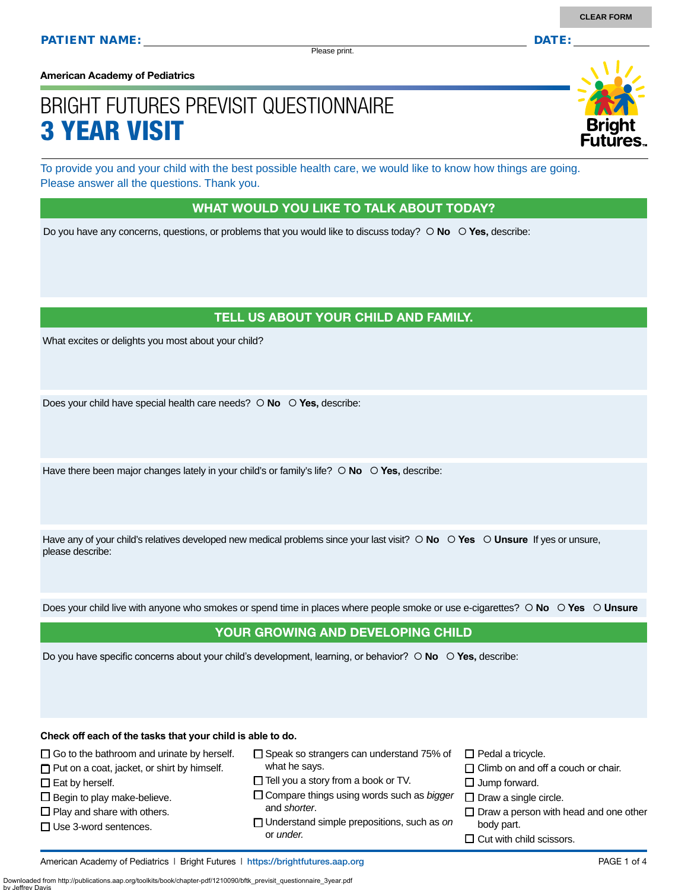Please print.

**American Academy of Pediatrics**

# BRIGHT FUTURES PREVISIT QUESTIONNAIRE 3 YEAR VISIT

To provide you and your child with the best possible health care, we would like to know how things are going. Please answer all the questions. Thank you.

#### WHAT WOULD YOU LIKE TO TALK ABOUT TODAY?

Do you have any concerns, questions, or problems that you would like to discuss today?  $\circ$  **No**  $\circ$  **Yes**, describe:

# TELL US ABOUT YOUR CHILD AND FAMILY.

What excites or delights you most about your child?

Does your child have special health care needs?  $\circ$  **No**  $\circ$  **Yes**, describe:

Have there been major changes lately in your child's or family's life?  $\circ$  **No**  $\circ$  **Yes**, describe:

Have any of your child's relatives developed new medical problems since your last visit?  $\circ$  **No**  $\circ$  **Yes**  $\circ$  **Unsure** If yes or unsure, please describe:

Does your child live with anyone who smokes or spend time in places where people smoke or use e-cigarettes?  **No Yes Unsure**

#### YOUR GROWING AND DEVELOPING CHILD

Do you have specific concerns about your child's development, learning, or behavior?  $\circ$  **No**  $\circ$  **Yes**, describe:

**Check off each of the tasks that your child is able to do.**

 $\Box$  Go to the bathroom and urinate by herself.  $\Box$  Put on a coat, jacket, or shirt by himself.

 $\square$  Eat by herself.

 $\square$  Begin to play make-believe.  $\square$  Play and share with others. □ Use 3-word sentences.

- □ Speak so strangers can understand 75% of what he says.
- $\Box$  Tell you a story from a book or TV.
- Compare things using words such as *bigger* and *shorter*.
- Understand simple prepositions, such as *on* or *under.*
- $\Box$  Pedal a tricycle.
- $\Box$  Climb on and off a couch or chair.
- $\square$  Jump forward.
- $\square$  Draw a single circle.
- $\Box$  Draw a person with head and one other body part.
- $\Box$  Cut with child scissors.

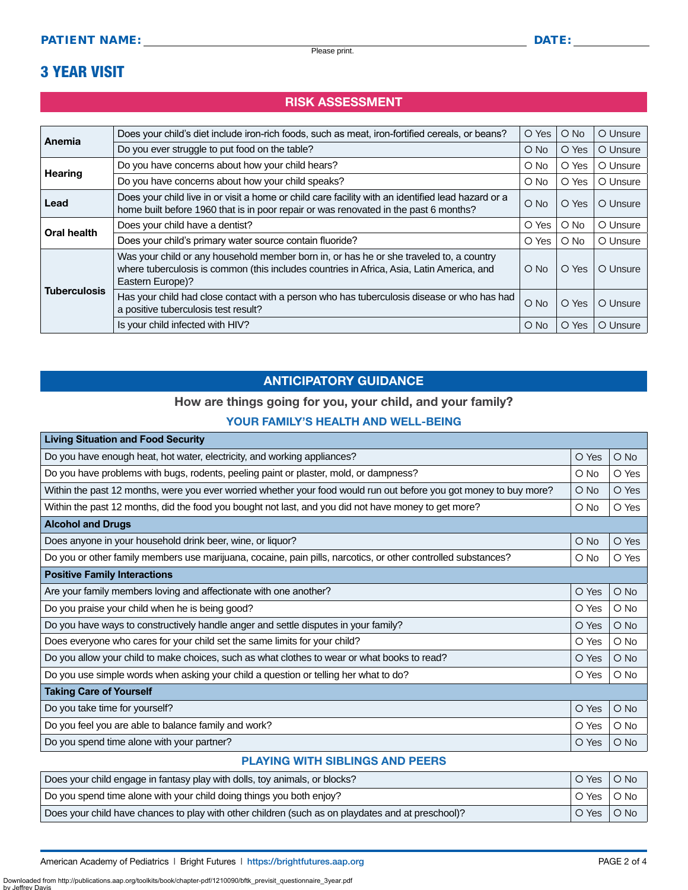# 3 YEAR VISIT

# RISK ASSESSMENT

| Anemia              | Does your child's diet include iron-rich foods, such as meat, iron-fortified cereals, or beans?                                                                                                          | O Yes         | $O$ No        | O Unsure |
|---------------------|----------------------------------------------------------------------------------------------------------------------------------------------------------------------------------------------------------|---------------|---------------|----------|
|                     | Do you ever struggle to put food on the table?                                                                                                                                                           | $O$ No        | O Yes         | O Unsure |
| <b>Hearing</b>      | Do you have concerns about how your child hears?                                                                                                                                                         | $\bigcirc$ No | O Yes         | O Unsure |
|                     | Do you have concerns about how your child speaks?                                                                                                                                                        | $O$ No        | O Yes         | O Unsure |
| Lead                | Does your child live in or visit a home or child care facility with an identified lead hazard or a<br>home built before 1960 that is in poor repair or was renovated in the past 6 months?               | $O$ No        | O Yes         | O Unsure |
| <b>Oral health</b>  | Does your child have a dentist?                                                                                                                                                                          | O Yes         | $\bigcirc$ No | O Unsure |
|                     | Does your child's primary water source contain fluoride?                                                                                                                                                 | O Yes         | $O$ No        | O Unsure |
| <b>Tuberculosis</b> | Was your child or any household member born in, or has he or she traveled to, a country<br>where tuberculosis is common (this includes countries in Africa, Asia, Latin America, and<br>Eastern Europe)? | $O$ No        | O Yes         | O Unsure |
|                     | Has your child had close contact with a person who has tuberculosis disease or who has had<br>a positive tuberculosis test result?                                                                       | $O$ No        | O Yes         | O Unsure |
|                     | Is your child infected with HIV?                                                                                                                                                                         | $O$ No        | O Yes         | O Unsure |

# ANTICIPATORY GUIDANCE

### How are things going for you, your child, and your family?

### YOUR FAMILY'S HEALTH AND WELL-BEING

| <b>Living Situation and Food Security</b>                                                                          |               |               |  |
|--------------------------------------------------------------------------------------------------------------------|---------------|---------------|--|
| Do you have enough heat, hot water, electricity, and working appliances?                                           | O Yes         | O No          |  |
| Do you have problems with bugs, rodents, peeling paint or plaster, mold, or dampness?                              | $\circ$ No    | O Yes         |  |
| Within the past 12 months, were you ever worried whether your food would run out before you got money to buy more? | $\circ$ No    | O Yes         |  |
| Within the past 12 months, did the food you bought not last, and you did not have money to get more?               | O No          | O Yes         |  |
| <b>Alcohol and Drugs</b>                                                                                           |               |               |  |
| Does anyone in your household drink beer, wine, or liquor?                                                         | $\bigcirc$ No | O Yes         |  |
| Do you or other family members use marijuana, cocaine, pain pills, narcotics, or other controlled substances?      | O No          | O Yes         |  |
| <b>Positive Family Interactions</b>                                                                                |               |               |  |
| Are your family members loving and affectionate with one another?                                                  | O Yes         | $O$ No        |  |
| Do you praise your child when he is being good?                                                                    | O Yes         | $\bigcirc$ No |  |
| Do you have ways to constructively handle anger and settle disputes in your family?                                | O Yes         | $O$ No        |  |
| Does everyone who cares for your child set the same limits for your child?                                         | O Yes         | $O$ No        |  |
| Do you allow your child to make choices, such as what clothes to wear or what books to read?                       | O Yes         | $O$ No        |  |
| Do you use simple words when asking your child a question or telling her what to do?                               | O Yes         | $\bigcirc$ No |  |
| <b>Taking Care of Yourself</b>                                                                                     |               |               |  |
| Do you take time for yourself?                                                                                     | O Yes         | O No          |  |
| Do you feel you are able to balance family and work?                                                               | O Yes         | O No          |  |
| Do you spend time alone with your partner?                                                                         | O Yes         | $\bigcirc$ No |  |

# PLAYING WITH SIBLINGS AND PEERS

| Does your child engage in fantasy play with dolls, toy animals, or blocks?                        | O Yes | $O$ No |
|---------------------------------------------------------------------------------------------------|-------|--------|
| Do you spend time alone with your child doing things you both enjoy?                              | O Yes | O No   |
| Does your child have chances to play with other children (such as on playdates and at preschool)? | O Yes | $O$ No |

Downloaded from http://publications.aap.org/toolkits/book/chapter-pdf/1210090/bftk\_previsit\_questionnaire\_3year.pdf

by Jeffrey I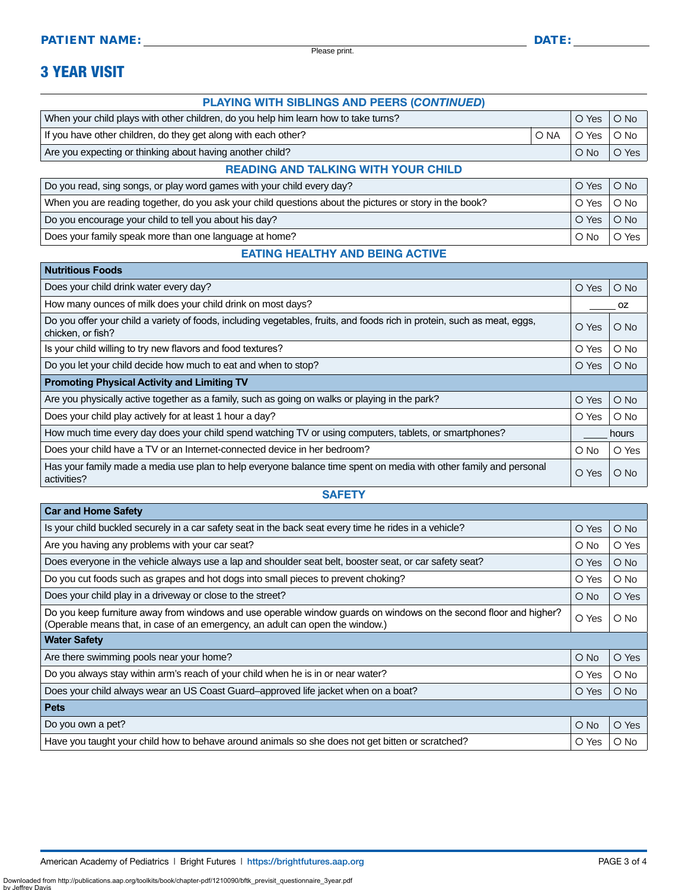Please print.

# 3 YEAR VISIT

**Nutritious Foods**

#### PLAYING WITH SIBLINGS AND PEERS (*CONTINUED*)

| When your child plays with other children, do you help him learn how to take turns? |      | O Yes       | $O$ No |
|-------------------------------------------------------------------------------------|------|-------------|--------|
| If you have other children, do they get along with each other?                      | O NA | O Yes ∣O No |        |
| Are you expecting or thinking about having another child?                           |      | $\circ$ No  | O Yes  |
|                                                                                     |      |             |        |

#### READING AND TALKING WITH YOUR CHILD

| Do you read, sing songs, or play word games with your child every day?                                  | O Yes        | $\overline{\bigcirc}$ No |
|---------------------------------------------------------------------------------------------------------|--------------|--------------------------|
| When you are reading together, do you ask your child questions about the pictures or story in the book? | ○ Yes │ ○ No |                          |
| Do you encourage your child to tell you about his day?                                                  | O Yes   O No |                          |
| Does your family speak more than one language at home?                                                  | $O$ No       | O Yes                    |

## EATING HEALTHY AND BEING ACTIVE

| <b>NUITILIOUS FOODS</b>                                                                                                                       |            |               |  |
|-----------------------------------------------------------------------------------------------------------------------------------------------|------------|---------------|--|
| Does your child drink water every day?                                                                                                        | O Yes      | $O$ No        |  |
| How many ounces of milk does your child drink on most days?                                                                                   |            | 0Z            |  |
| Do you offer your child a variety of foods, including vegetables, fruits, and foods rich in protein, such as meat, eggs,<br>chicken, or fish? | O Yes      | $O$ No        |  |
| Is your child willing to try new flavors and food textures?                                                                                   | O Yes      | $\circ$ No    |  |
| Do you let your child decide how much to eat and when to stop?                                                                                | O Yes      | $\bigcirc$ No |  |
| <b>Promoting Physical Activity and Limiting TV</b>                                                                                            |            |               |  |
| Are you physically active together as a family, such as going on walks or playing in the park?                                                | O Yes      | $\bigcirc$ No |  |
| Does your child play actively for at least 1 hour a day?                                                                                      | O Yes      | $\circ$ No    |  |
| How much time every day does your child spend watching TV or using computers, tablets, or smartphones?                                        | hours      |               |  |
| Does your child have a TV or an Internet-connected device in her bedroom?                                                                     | $\circ$ No | O Yes         |  |
| Has your family made a media use plan to help everyone balance time spent on media with other family and personal<br>activities?              | O Yes      | $O$ No        |  |

#### **SAFETY**

| O Yes         |               |
|---------------|---------------|
|               | $\bigcirc$ No |
| $\circ$ No    | O Yes         |
| O Yes         | $\bigcirc$ No |
| O Yes         | $\circ$ No    |
| $\circ$ No    | O Yes         |
| O Yes         | $\circ$ No    |
|               |               |
| $O$ No        | O Yes         |
| O Yes         | $\circ$ No    |
| O Yes         | $\bigcirc$ No |
|               |               |
| $\bigcirc$ No | O Yes         |
| O Yes         | $\circ$ No    |
|               |               |